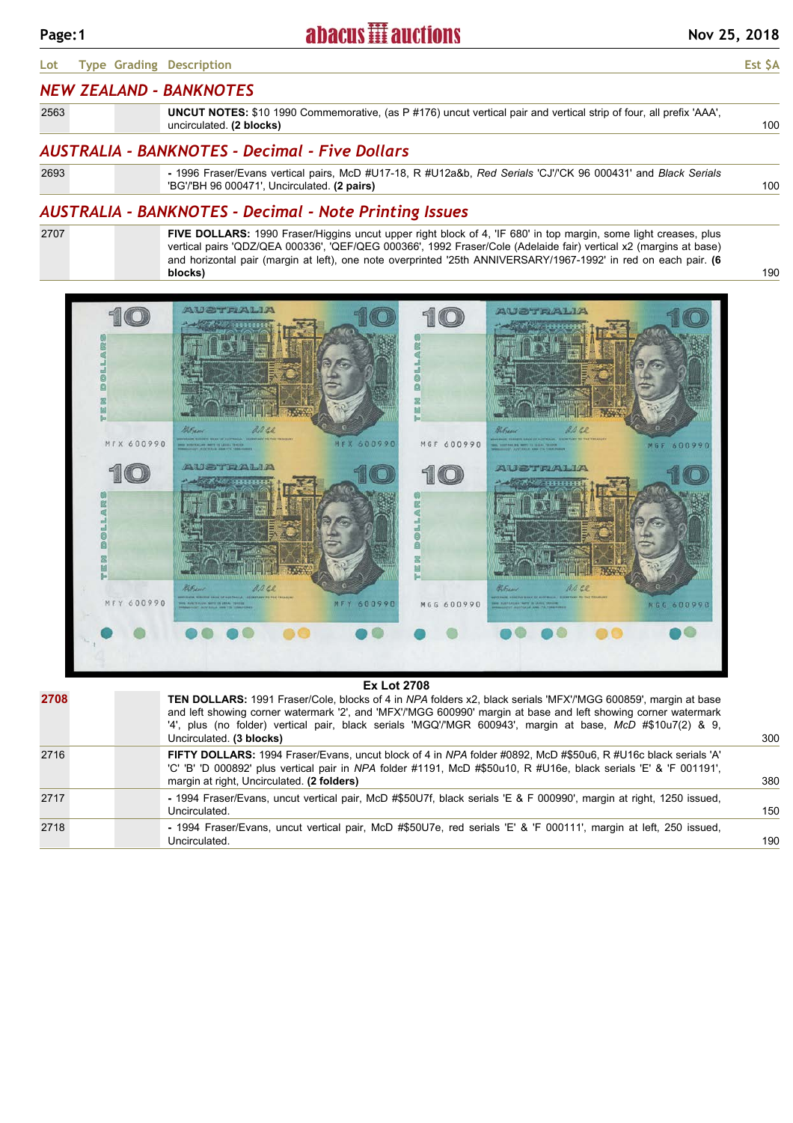#### **Lot Type Grading Description Est \$A**

### *NEW ZEALAND - BANKNOTES*

| 2563 | <b>UNCUT NOTES:</b> \$10 1990 Commemorative, (as P #176) uncut vertical pair and vertical strip of four, all prefix 'AAA', |  |
|------|----------------------------------------------------------------------------------------------------------------------------|--|
|      | uncirculated. (2 blocks)                                                                                                   |  |
|      |                                                                                                                            |  |

# *AUSTRALIA - BANKNOTES - Decimal - Five Dollars*

| 2693 | - 1996 Fraser/Evans vertical pairs, McD #U17-18, R #U12a&b, Red Serials 'CJ'/'CK 96 000431' and Black Serials |     |
|------|---------------------------------------------------------------------------------------------------------------|-----|
|      | "BG'/'BH 96 000471', Uncirculated. (2 pairs)                                                                  | 100 |

## *AUSTRALIA - BANKNOTES - Decimal - Note Printing Issues*

2707

**FIVE DOLLARS:** 1990 Fraser/Higgins uncut upper right block of 4, 'IF 680' in top margin, some light creases, plus vertical pairs 'QDZ/QEA 000336', 'QEF/QEG 000366', 1992 Fraser/Cole (Adelaide fair) vertical x2 (margins at base) and horizontal pair (margin at left), one note overprinted '25th ANNIVERSARY/1967-1992' in red on each pair. **(6 blocks)**



|      | ___________                                                                                                                                                                                                                                                                                                                                                                      |     |
|------|----------------------------------------------------------------------------------------------------------------------------------------------------------------------------------------------------------------------------------------------------------------------------------------------------------------------------------------------------------------------------------|-----|
| 2708 | <b>TEN DOLLARS:</b> 1991 Fraser/Cole, blocks of 4 in NPA folders x2, black serials 'MFX'/'MGG 600859', margin at base<br>and left showing corner watermark '2', and 'MFX'/'MGG 600990' margin at base and left showing corner watermark<br>4', plus (no folder) vertical pair, black serials 'MGQ'/'MGR 600943', margin at base, McD #\$10u7(2) & 9,<br>Uncirculated. (3 blocks) | 300 |
| 2716 | FIFTY DOLLARS: 1994 Fraser/Evans, uncut block of 4 in NPA folder #0892, McD #\$50u6, R #U16c black serials 'A'<br>'C' 'B' 'D 000892' plus vertical pair in NPA folder #1191, McD #\$50u10, R #U16e, black serials 'E' & 'F 001191',<br>margin at right, Uncirculated. (2 folders)                                                                                                | 380 |
| 2717 | - 1994 Fraser/Evans, uncut vertical pair, McD #\$50U7f, black serials 'E & F 000990', margin at right, 1250 issued,<br>Uncirculated.                                                                                                                                                                                                                                             | 150 |
| 2718 | - 1994 Fraser/Evans, uncut vertical pair, McD #\$50U7e, red serials 'E' & 'F 000111', margin at left, 250 issued,<br>Uncirculated.                                                                                                                                                                                                                                               | 190 |
|      |                                                                                                                                                                                                                                                                                                                                                                                  |     |

190